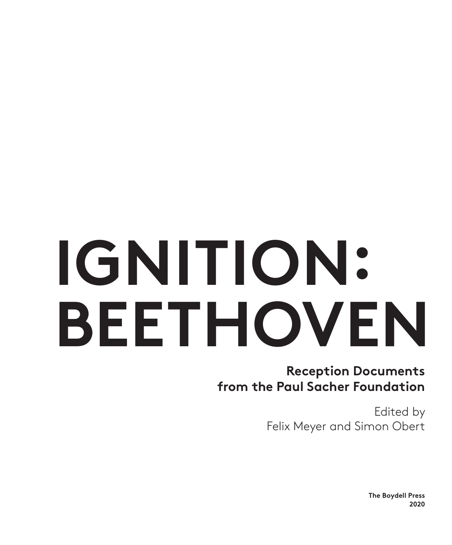# **IGNITION: BEETHOVEN**

**Reception Documents from the Paul Sacher Foundation**

> Edited by Felix Meyer and Simon Obert

> > **The Boydell Press 2020**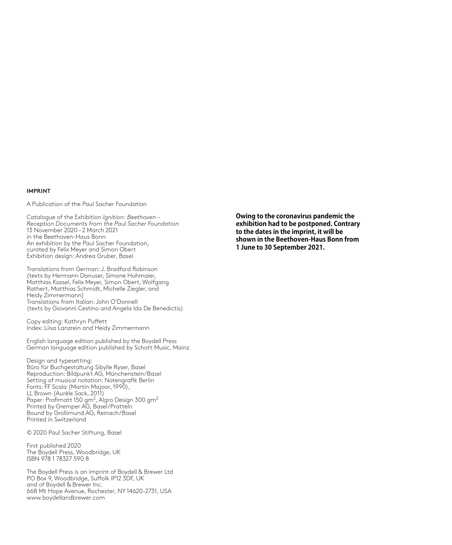#### **IMPRINT**

A Publication of the Paul Sacher Foundation

Catalogue of the Exhibition *Ignition: Beethoven – Reception Documents from the Paul Sacher Foundation* 13 November 2020 – 2 March 2021 in the Beethoven-Haus Bonn An exhibition by the Paul Sacher Foundation, curated by Felix Meyer and Simon Obert Exhibition design: Andrea Gruber, Basel

Translations from German: J. Bradford Robinson (texts by Hermann Danuser, Simone Hohmaier, Matthias Kassel, Felix Meyer, Simon Obert, Wolfgang Rathert, Matthias Schmidt, Michelle Ziegler, and Heidy Zimmermann) Translations from Italian: John O'Donnell (texts by Giovanni Cestino and Angela Ida De Benedictis)

Copy editing: Kathryn Puffett Index: Liisa Lanzrein and Heidy Zimmermann

English language edition published by the Boydell Press German language edition published by Schott Music, Mainz

Design and typesetting: Büro für Buchgestaltung Sibylle Ryser, Basel Reproduction: Bildpunkt AG, Münchenstein/Basel Setting of musical notation: Notengrafik Berlin Fonts: FF Scala (Martin Majoor, 1990), LL Brown (Aurèle Sack, 2011) Paper: Profimatt 150 gm<sup>2</sup>, Algro Design 300 gm<sup>2</sup> Printed by Gremper AG, Basel/Pratteln Bound by Grollimund AG, Reinach/Basel Printed in Switzerland

© 2020 Paul Sacher Stiftung, Basel

First published 2020 The Boydell Press, Woodbridge, UK ISBN 978 1 78327 590 8

The Boydell Press is an imprint of Boydell & Brewer Ltd PO Box 9, Woodbridge, Suffolk IP12 3DF, UK and of Boydell & Brewer Inc. 668 Mt Hope Avenue, Rochester, NY 14620-2731, USA www.boydellandbrewer.com

**Owing to the coronavirus pandemic the exhibition had to be postponed. Contrary to the dates in the imprint, it will be shown in the Beethoven-Haus Bonn from 1 June to 30 September 2021.**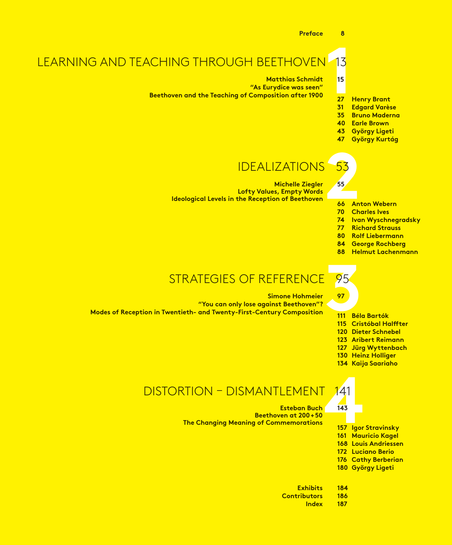



- **Anton Webern**
- **Charles Ives**
- **Ivan Wyschnegradsky**
- **Richard Strauss**
- **Rolf Liebermann**
- **George Rochberg**
- **Helmut Lachenmann**

## 95<br>
97<br>
111 Bél STRATEGIES OF REFERENCE 95

#### **Simone Hohmeier**

**"You can only lose against Beethoven"? Modes of Reception in Twentieth- and Twenty-First-Century Composition**

**Béla Bartók** 

- **Cristóbal Halffter**
- **Dieter Schnebel**
- **Aribert Reimann**
- **Jürg Wyttenbach**
- **Heinz Holliger**
- **Kaija Saariaho**

#### DISTORTION – DISMANTLEMENT 141

### 141<br>143<br>157 Igor **Esteban Buch Beethoven at 200+50**

**The Changing Meaning of Commemorations**

- **Igor Stravinsky**
- **Mauricio Kagel**
- **Louis Andriessen**
- **Luciano Berio**
- **Cathy Berberian**
- **György Ligeti**
- **Exhibits Contributors**
	- **Index**
- 
- 
- 

- 
-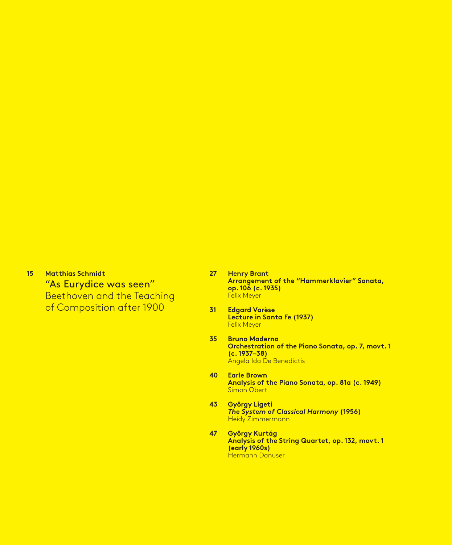**15 Matthias Schmidt** "As Eurydice was seen" Beethoven and the Teaching of Composition after 1900

- **27 Henry Brant Arrangement of the "Hammerklavier" Sonata, op. 106 (c. 1935)** Felix Meyer
- **31 Edgard Varèse Lecture in Santa Fe (1937)** Felix Meyer
- **35 Bruno Maderna Orchestration of the Piano Sonata, op. 7, movt. 1 (c. 1937–38)** Angela Ida De Benedictis
- **40 Earle Brown Analysis of the Piano Sonata, op. 81a (c. 1949)** Simon Obert
- **43 György Ligeti** *The System of Classical Harmony* **(1956)** Heidy Zimmermann
- **47 György Kurtág Analysis of the String Quartet, op. 132, movt. 1 (early 1960s)** Hermann Danuser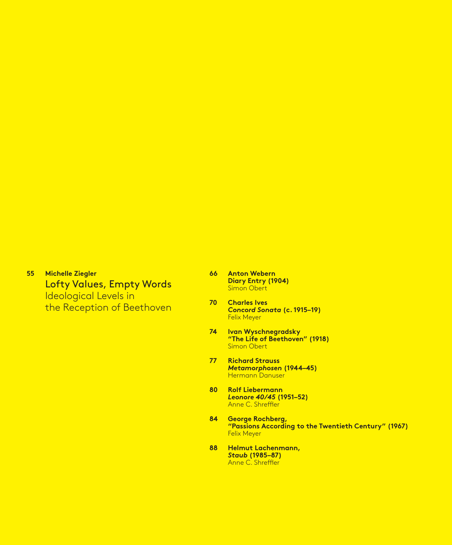**55 Michelle Ziegler** Lofty Values, Empty Words Ideological Levels in the Reception of Beethoven

- **66 Anton Webern Diary Entry (1904)** Simon Obert
- **70 Charles Ives**  *Concord Sonata* **(c. 1915–19)** Felix Meyer
- **74 Ivan Wyschnegradsky "The Life of Beethoven" (1918)** Simon Obert
- **77 Richard Strauss**  *Metamorphosen* **(1944–45)** Hermann Danuser
- **80 Rolf Liebermann**  *Leonore 40/45* **(1951–52)** Anne C. Shreffler
- **84 George Rochberg, "Passions According to the Twentieth Century" (1967)** Felix Meyer
- **88 Helmut Lachenmann,**  *Staub* **(1985–87)** Anne C. Shreffler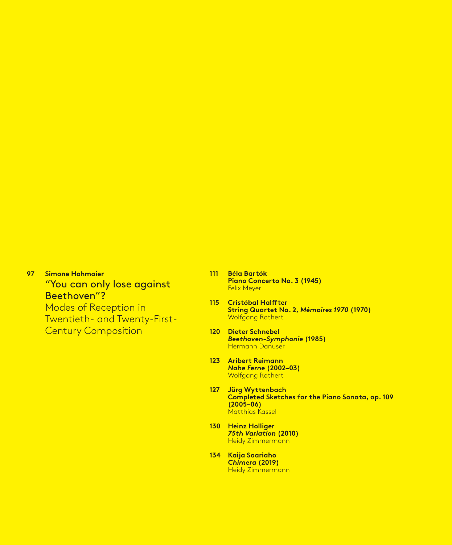**97 Simone Hohmaier** "You can only lose against Beethoven"? Modes of Reception in Twentieth- and Twenty-First-Century Composition

- **111 Béla Bartók Piano Concerto No. 3 (1945)**  Felix Meyer
- **115 Cristóbal Halffter String Quartet No. 2,** *Mémoires 1970* **(1970)** Wolfgang Rathert
- **120 Dieter Schnebel** *Beethoven-Symphonie* **(1985)** Hermann Danuser
- **123 Aribert Reimann**  *Nahe Ferne* **(2002–03)** Wolfgang Rathert
- **127 Jürg Wyttenbach Completed Sketches for the Piano Sonata, op. 109 (2005–06)** Matthias Kassel
- **130 Heinz Holliger**  *75th Variation* **(2010)** Heidy Zimmermann
- **134 Kaija Saariaho**  *Chimera* **(2019)**  Heidy Zimmermann